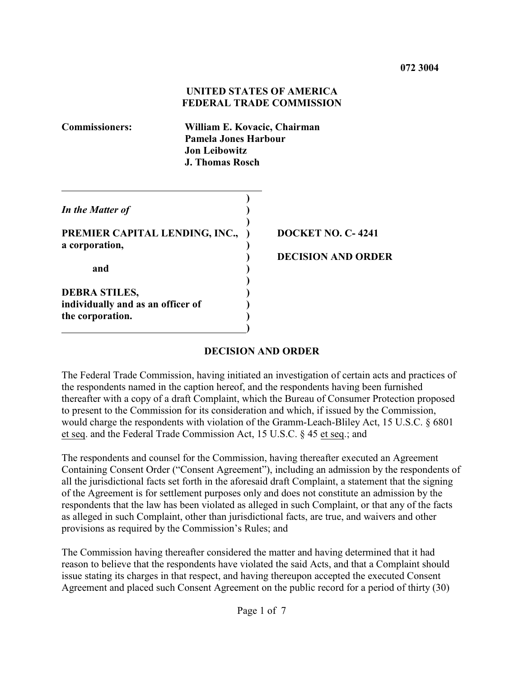# **UNITED STATES OF AMERICA FEDERAL TRADE COMMISSION**

**Commissioners: William E. Kovacic, Chairman Pamela Jones Harbour Jon Leibowitz J. Thomas Rosch )** *In the Matter of* **) ) PREMIER CAPITAL LENDING, INC., ) DOCKET NO. C-4241 a corporation, ) and ) ) DEBRA STILES, ) individually and as an officer of )**

 **)**

**the corporation. )**

**) DECISION AND ORDER**

# **DECISION AND ORDER**

The Federal Trade Commission, having initiated an investigation of certain acts and practices of the respondents named in the caption hereof, and the respondents having been furnished thereafter with a copy of a draft Complaint, which the Bureau of Consumer Protection proposed to present to the Commission for its consideration and which, if issued by the Commission, would charge the respondents with violation of the Gramm-Leach-Bliley Act, 15 U.S.C. § 6801 et seq. and the Federal Trade Commission Act, 15 U.S.C. § 45 et seq.; and

The respondents and counsel for the Commission, having thereafter executed an Agreement Containing Consent Order ("Consent Agreement"), including an admission by the respondents of all the jurisdictional facts set forth in the aforesaid draft Complaint, a statement that the signing of the Agreement is for settlement purposes only and does not constitute an admission by the respondents that the law has been violated as alleged in such Complaint, or that any of the facts as alleged in such Complaint, other than jurisdictional facts, are true, and waivers and other provisions as required by the Commission's Rules; and

The Commission having thereafter considered the matter and having determined that it had reason to believe that the respondents have violated the said Acts, and that a Complaint should issue stating its charges in that respect, and having thereupon accepted the executed Consent Agreement and placed such Consent Agreement on the public record for a period of thirty (30)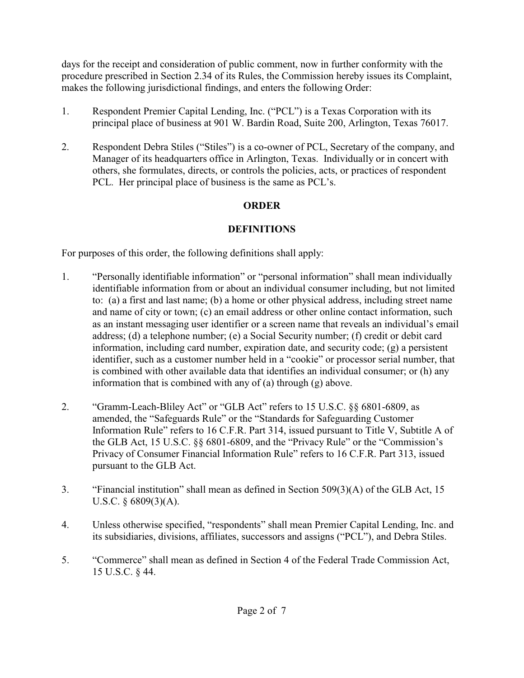days for the receipt and consideration of public comment, now in further conformity with the procedure prescribed in Section 2.34 of its Rules, the Commission hereby issues its Complaint, makes the following jurisdictional findings, and enters the following Order:

- 1. Respondent Premier Capital Lending, Inc. ("PCL") is a Texas Corporation with its principal place of business at 901 W. Bardin Road, Suite 200, Arlington, Texas 76017.
- 2. Respondent Debra Stiles ("Stiles") is a co-owner of PCL, Secretary of the company, and Manager of its headquarters office in Arlington, Texas. Individually or in concert with others, she formulates, directs, or controls the policies, acts, or practices of respondent PCL. Her principal place of business is the same as PCL's.

# **ORDER**

# **DEFINITIONS**

For purposes of this order, the following definitions shall apply:

- 1. "Personally identifiable information" or "personal information" shall mean individually identifiable information from or about an individual consumer including, but not limited to: (a) a first and last name; (b) a home or other physical address, including street name and name of city or town; (c) an email address or other online contact information, such as an instant messaging user identifier or a screen name that reveals an individual's email address; (d) a telephone number; (e) a Social Security number; (f) credit or debit card information, including card number, expiration date, and security code; (g) a persistent identifier, such as a customer number held in a "cookie" or processor serial number, that is combined with other available data that identifies an individual consumer; or (h) any information that is combined with any of (a) through (g) above.
- 2. "Gramm-Leach-Bliley Act" or "GLB Act" refers to 15 U.S.C. §§ 6801-6809, as amended, the "Safeguards Rule" or the "Standards for Safeguarding Customer Information Rule" refers to 16 C.F.R. Part 314, issued pursuant to Title V, Subtitle A of the GLB Act, 15 U.S.C. §§ 6801-6809, and the "Privacy Rule" or the "Commission's Privacy of Consumer Financial Information Rule" refers to 16 C.F.R. Part 313, issued pursuant to the GLB Act.
- 3. "Financial institution" shall mean as defined in Section 509(3)(A) of the GLB Act, 15 U.S.C. § 6809(3)(A).
- 4. Unless otherwise specified, "respondents" shall mean Premier Capital Lending, Inc. and its subsidiaries, divisions, affiliates, successors and assigns ("PCL"), and Debra Stiles.
- 5. "Commerce" shall mean as defined in Section 4 of the Federal Trade Commission Act, 15 U.S.C. § 44.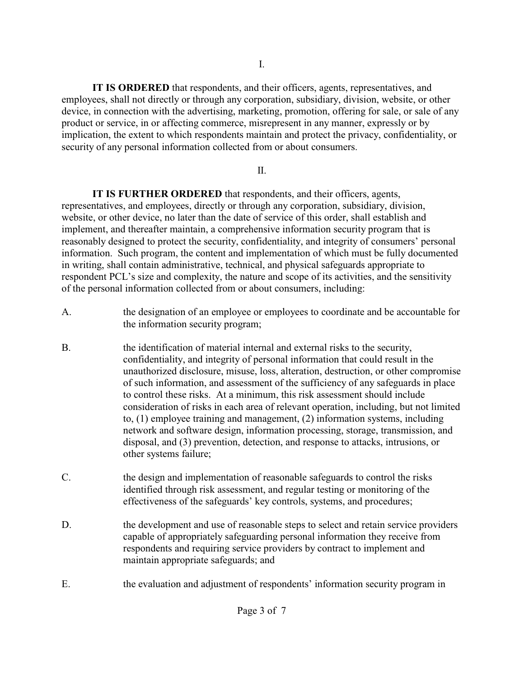**IT IS ORDERED** that respondents, and their officers, agents, representatives, and employees, shall not directly or through any corporation, subsidiary, division, website, or other device, in connection with the advertising, marketing, promotion, offering for sale, or sale of any product or service, in or affecting commerce, misrepresent in any manner, expressly or by implication, the extent to which respondents maintain and protect the privacy, confidentiality, or security of any personal information collected from or about consumers.

### II.

 **IT IS FURTHER ORDERED** that respondents, and their officers, agents, representatives, and employees, directly or through any corporation, subsidiary, division, website, or other device, no later than the date of service of this order, shall establish and implement, and thereafter maintain, a comprehensive information security program that is reasonably designed to protect the security, confidentiality, and integrity of consumers' personal information. Such program, the content and implementation of which must be fully documented in writing, shall contain administrative, technical, and physical safeguards appropriate to respondent PCL's size and complexity, the nature and scope of its activities, and the sensitivity of the personal information collected from or about consumers, including:

- A. the designation of an employee or employees to coordinate and be accountable for the information security program;
- B. the identification of material internal and external risks to the security, confidentiality, and integrity of personal information that could result in the unauthorized disclosure, misuse, loss, alteration, destruction, or other compromise of such information, and assessment of the sufficiency of any safeguards in place to control these risks. At a minimum, this risk assessment should include consideration of risks in each area of relevant operation, including, but not limited to, (1) employee training and management, (2) information systems, including network and software design, information processing, storage, transmission, and disposal, and (3) prevention, detection, and response to attacks, intrusions, or other systems failure;
- C. the design and implementation of reasonable safeguards to control the risks identified through risk assessment, and regular testing or monitoring of the effectiveness of the safeguards' key controls, systems, and procedures;
- D. the development and use of reasonable steps to select and retain service providers capable of appropriately safeguarding personal information they receive from respondents and requiring service providers by contract to implement and maintain appropriate safeguards; and
- E. the evaluation and adjustment of respondents' information security program in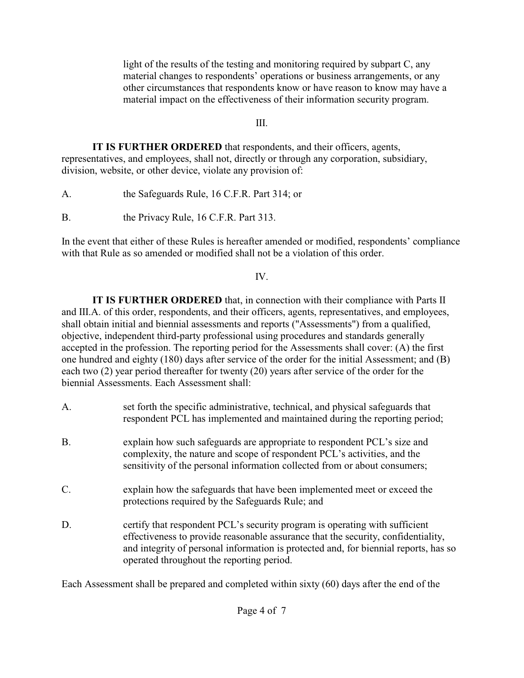light of the results of the testing and monitoring required by subpart C, any material changes to respondents' operations or business arrangements, or any other circumstances that respondents know or have reason to know may have a material impact on the effectiveness of their information security program.

# III.

 **IT IS FURTHER ORDERED** that respondents, and their officers, agents, representatives, and employees, shall not, directly or through any corporation, subsidiary, division, website, or other device, violate any provision of:

A. the Safeguards Rule, 16 C.F.R. Part 314; or

B. the Privacy Rule, 16 C.F.R. Part 313.

In the event that either of these Rules is hereafter amended or modified, respondents' compliance with that Rule as so amended or modified shall not be a violation of this order.

### IV.

 **IT IS FURTHER ORDERED** that, in connection with their compliance with Parts II and III.A. of this order, respondents, and their officers, agents, representatives, and employees, shall obtain initial and biennial assessments and reports ("Assessments") from a qualified, objective, independent third-party professional using procedures and standards generally accepted in the profession. The reporting period for the Assessments shall cover: (A) the first one hundred and eighty (180) days after service of the order for the initial Assessment; and (B) each two (2) year period thereafter for twenty (20) years after service of the order for the biennial Assessments. Each Assessment shall:

- A. set forth the specific administrative, technical, and physical safeguards that respondent PCL has implemented and maintained during the reporting period;
- B. explain how such safeguards are appropriate to respondent PCL's size and complexity, the nature and scope of respondent PCL's activities, and the sensitivity of the personal information collected from or about consumers;
- C. explain how the safeguards that have been implemented meet or exceed the protections required by the Safeguards Rule; and
- D. certify that respondent PCL's security program is operating with sufficient effectiveness to provide reasonable assurance that the security, confidentiality, and integrity of personal information is protected and, for biennial reports, has so operated throughout the reporting period.

Each Assessment shall be prepared and completed within sixty (60) days after the end of the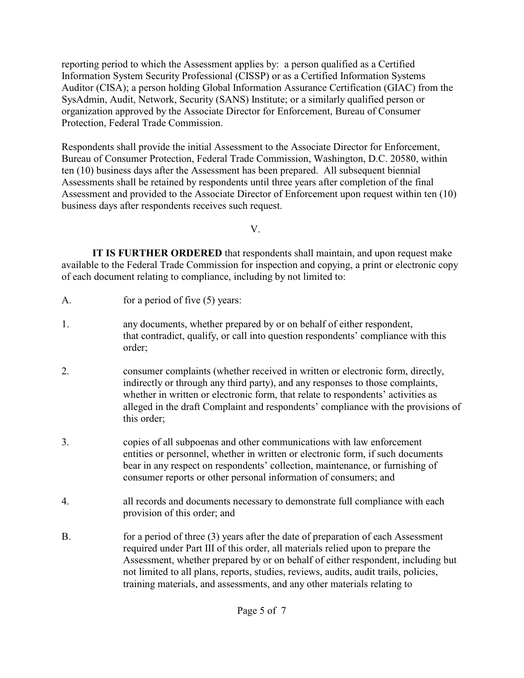reporting period to which the Assessment applies by: a person qualified as a Certified Information System Security Professional (CISSP) or as a Certified Information Systems Auditor (CISA); a person holding Global Information Assurance Certification (GIAC) from the SysAdmin, Audit, Network, Security (SANS) Institute; or a similarly qualified person or organization approved by the Associate Director for Enforcement, Bureau of Consumer Protection, Federal Trade Commission.

Respondents shall provide the initial Assessment to the Associate Director for Enforcement, Bureau of Consumer Protection, Federal Trade Commission, Washington, D.C. 20580, within ten (10) business days after the Assessment has been prepared. All subsequent biennial Assessments shall be retained by respondents until three years after completion of the final Assessment and provided to the Associate Director of Enforcement upon request within ten (10) business days after respondents receives such request.

V.

 **IT IS FURTHER ORDERED** that respondents shall maintain, and upon request make available to the Federal Trade Commission for inspection and copying, a print or electronic copy of each document relating to compliance, including by not limited to:

- A. for a period of five (5) years:
- 1. any documents, whether prepared by or on behalf of either respondent, that contradict, qualify, or call into question respondents' compliance with this order;
- 2. consumer complaints (whether received in written or electronic form, directly, indirectly or through any third party), and any responses to those complaints, whether in written or electronic form, that relate to respondents' activities as alleged in the draft Complaint and respondents' compliance with the provisions of this order;
- 3. copies of all subpoenas and other communications with law enforcement entities or personnel, whether in written or electronic form, if such documents bear in any respect on respondents' collection, maintenance, or furnishing of consumer reports or other personal information of consumers; and
- 4. all records and documents necessary to demonstrate full compliance with each provision of this order; and
- B. for a period of three (3) years after the date of preparation of each Assessment required under Part III of this order, all materials relied upon to prepare the Assessment, whether prepared by or on behalf of either respondent, including but not limited to all plans, reports, studies, reviews, audits, audit trails, policies, training materials, and assessments, and any other materials relating to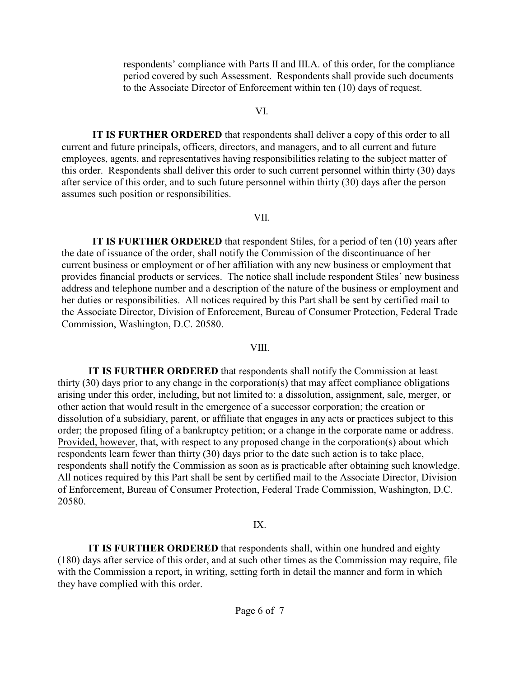respondents' compliance with Parts II and III.A. of this order, for the compliance period covered by such Assessment. Respondents shall provide such documents to the Associate Director of Enforcement within ten (10) days of request.

#### VI.

 **IT IS FURTHER ORDERED** that respondents shall deliver a copy of this order to all current and future principals, officers, directors, and managers, and to all current and future employees, agents, and representatives having responsibilities relating to the subject matter of this order. Respondents shall deliver this order to such current personnel within thirty (30) days after service of this order, and to such future personnel within thirty (30) days after the person assumes such position or responsibilities.

#### VII.

**IT IS FURTHER ORDERED** that respondent Stiles, for a period of ten (10) years after the date of issuance of the order, shall notify the Commission of the discontinuance of her current business or employment or of her affiliation with any new business or employment that provides financial products or services. The notice shall include respondent Stiles' new business address and telephone number and a description of the nature of the business or employment and her duties or responsibilities. All notices required by this Part shall be sent by certified mail to the Associate Director, Division of Enforcement, Bureau of Consumer Protection, Federal Trade Commission, Washington, D.C. 20580.

#### VIII.

 **IT IS FURTHER ORDERED** that respondents shall notify the Commission at least thirty (30) days prior to any change in the corporation(s) that may affect compliance obligations arising under this order, including, but not limited to: a dissolution, assignment, sale, merger, or other action that would result in the emergence of a successor corporation; the creation or dissolution of a subsidiary, parent, or affiliate that engages in any acts or practices subject to this order; the proposed filing of a bankruptcy petition; or a change in the corporate name or address. Provided, however, that, with respect to any proposed change in the corporation(s) about which respondents learn fewer than thirty (30) days prior to the date such action is to take place, respondents shall notify the Commission as soon as is practicable after obtaining such knowledge. All notices required by this Part shall be sent by certified mail to the Associate Director, Division of Enforcement, Bureau of Consumer Protection, Federal Trade Commission, Washington, D.C. 20580.

#### IX.

 **IT IS FURTHER ORDERED** that respondents shall, within one hundred and eighty (180) days after service of this order, and at such other times as the Commission may require, file with the Commission a report, in writing, setting forth in detail the manner and form in which they have complied with this order.